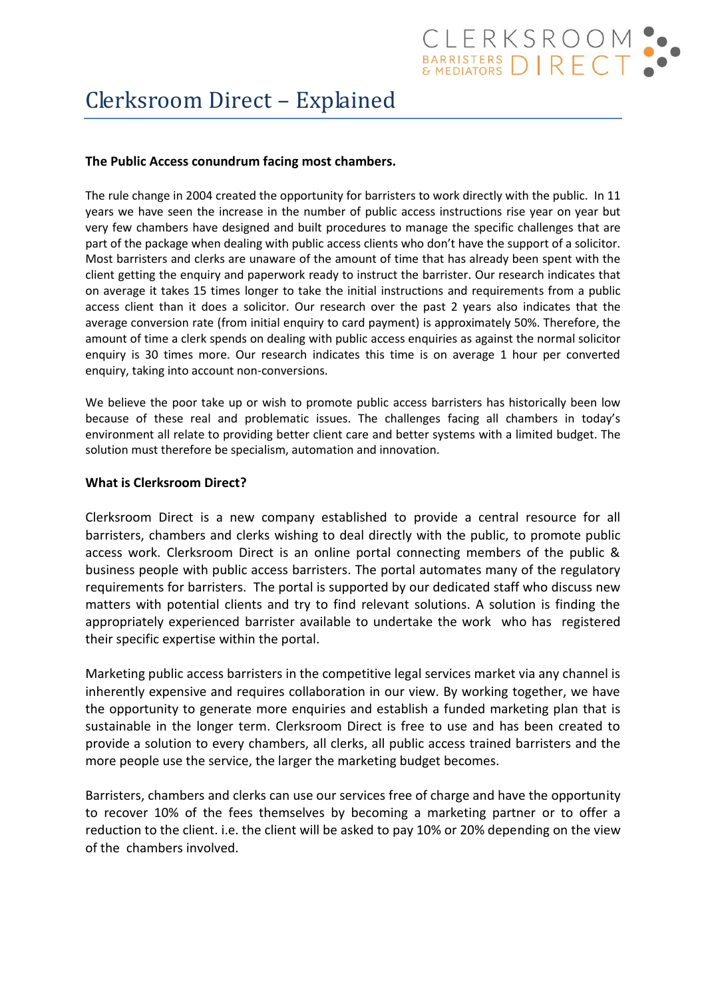# Clerksroom Direct – Explained

# **The Public Access conundrum facing most chambers.**

The rule change in 2004 created the opportunity for barristers to work directly with the public. In 11 years we have seen the increase in the number of public access instructions rise year on year but very few chambers have designed and built procedures to manage the specific challenges that are part of the package when dealing with public access clients who don't have the support of a solicitor. Most barristers and clerks are unaware of the amount of time that has already been spent with the client getting the enquiry and paperwork ready to instruct the barrister. Our research indicates that on average it takes 15 times longer to take the initial instructions and requirements from a public access client than it does a solicitor. Our research over the past 2 years also indicates that the average conversion rate (from initial enquiry to card payment) is approximately 50%. Therefore, the amount of time a clerk spends on dealing with public access enquiries as against the normal solicitor enquiry is 30 times more. Our research indicates this time is on average 1 hour per converted enquiry, taking into account non-conversions.

We believe the poor take up or wish to promote public access barristers has historically been low because of these real and problematic issues. The challenges facing all chambers in today's environment all relate to providing better client care and better systems with a limited budget. The solution must therefore be specialism, automation and innovation.

## **What is Clerksroom Direct?**

Clerksroom Direct is a new company established to provide a central resource for all barristers, chambers and clerks wishing to deal directly with the public, to promote public access work. Clerksroom Direct is an online portal connecting members of the public & business people with public access barristers. The portal automates many of the regulatory requirements for barristers. The portal is supported by our dedicated staff who discuss new matters with potential clients and try to find relevant solutions. A solution is finding the appropriately experienced barrister available to undertake the work who has registered their specific expertise within the portal.

Marketing public access barristers in the competitive legal services market via any channel is inherently expensive and requires collaboration in our view. By working together, we have the opportunity to generate more enquiries and establish a funded marketing plan that is sustainable in the longer term. Clerksroom Direct is free to use and has been created to provide a solution to every chambers, all clerks, all public access trained barristers and the more people use the service, the larger the marketing budget becomes.

Barristers, chambers and clerks can use our services free of charge and have the opportunity to recover 10% of the fees themselves by becoming a marketing partner or to offer a reduction to the client. i.e. the client will be asked to pay 10% or 20% depending on the view of the chambers involved.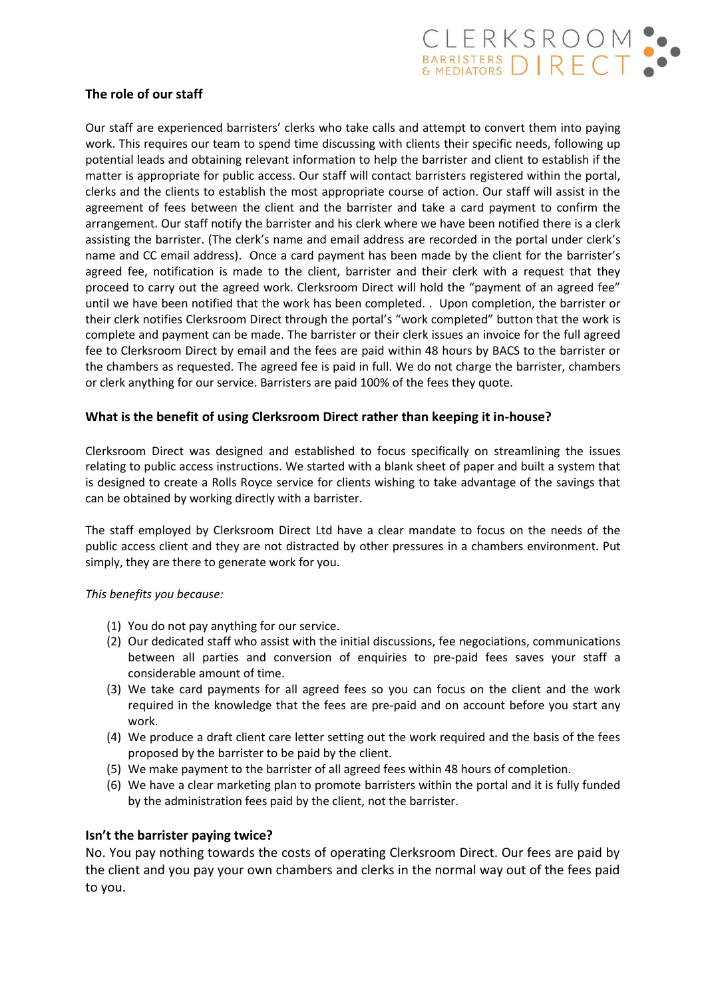

# **The role of our staff**

Our staff are experienced barristers' clerks who take calls and attempt to convert them into paying work. This requires our team to spend time discussing with clients their specific needs, following up potential leads and obtaining relevant information to help the barrister and client to establish if the matter is appropriate for public access. Our staff will contact barristers registered within the portal, clerks and the clients to establish the most appropriate course of action. Our staff will assist in the agreement of fees between the client and the barrister and take a card payment to confirm the arrangement. Our staff notify the barrister and his clerk where we have been notified there is a clerk assisting the barrister. (The clerk's name and email address are recorded in the portal under clerk's name and CC email address). Once a card payment has been made by the client for the barrister's agreed fee, notification is made to the client, barrister and their clerk with a request that they proceed to carry out the agreed work. Clerksroom Direct will hold the "payment of an agreed fee" until we have been notified that the work has been completed. . Upon completion, the barrister or their clerk notifies Clerksroom Direct through the portal's "work completed" button that the work is complete and payment can be made. The barrister or their clerk issues an invoice for the full agreed fee to Clerksroom Direct by email and the fees are paid within 48 hours by BACS to the barrister or the chambers as requested. The agreed fee is paid in full. We do not charge the barrister, chambers or clerk anything for our service. Barristers are paid 100% of the fees they quote.

## **What is the benefit of using Clerksroom Direct rather than keeping it in-house?**

Clerksroom Direct was designed and established to focus specifically on streamlining the issues relating to public access instructions. We started with a blank sheet of paper and built a system that is designed to create a Rolls Royce service for clients wishing to take advantage of the savings that can be obtained by working directly with a barrister.

The staff employed by Clerksroom Direct Ltd have a clear mandate to focus on the needs of the public access client and they are not distracted by other pressures in a chambers environment. Put simply, they are there to generate work for you.

#### *This benefits you because:*

- (1) You do not pay anything for our service.
- (2) Our dedicated staff who assist with the initial discussions, fee negociations, communications between all parties and conversion of enquiries to pre-paid fees saves your staff a considerable amount of time.
- (3) We take card payments for all agreed fees so you can focus on the client and the work required in the knowledge that the fees are pre-paid and on account before you start any work.
- (4) We produce a draft client care letter setting out the work required and the basis of the fees proposed by the barrister to be paid by the client.
- (5) We make payment to the barrister of all agreed fees within 48 hours of completion.
- (6) We have a clear marketing plan to promote barristers within the portal and it is fully funded by the administration fees paid by the client, not the barrister.

#### **Isn't the barrister paying twice?**

No. You pay nothing towards the costs of operating Clerksroom Direct. Our fees are paid by the client and you pay your own chambers and clerks in the normal way out of the fees paid to you.